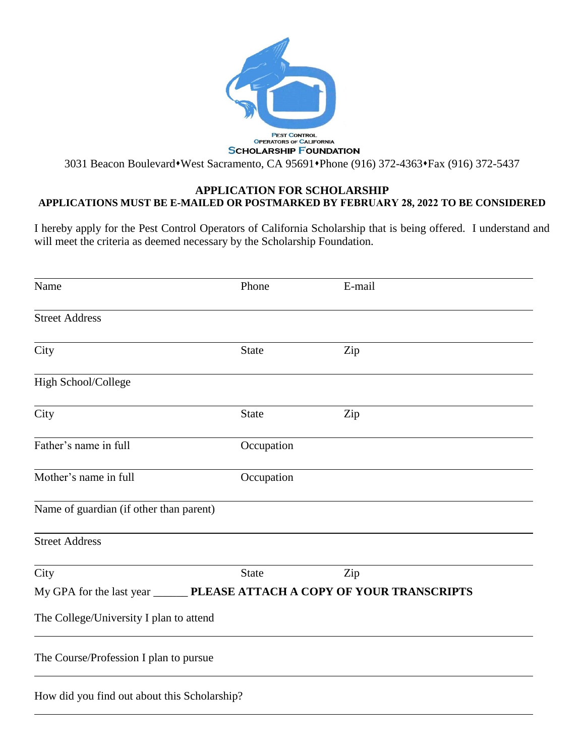

# **APPLICATION FOR SCHOLARSHIP APPLICATIONS MUST BE E-MAILED OR POSTMARKED BY FEBRUARY 28, 2022 TO BE CONSIDERED**

I hereby apply for the Pest Control Operators of California Scholarship that is being offered. I understand and will meet the criteria as deemed necessary by the Scholarship Foundation.

| Name                                                                       | Phone        | E-mail |
|----------------------------------------------------------------------------|--------------|--------|
| <b>Street Address</b>                                                      |              |        |
| City                                                                       | <b>State</b> | Zip    |
| High School/College                                                        |              |        |
| City                                                                       | <b>State</b> | Zip    |
| Father's name in full                                                      | Occupation   |        |
| Mother's name in full                                                      | Occupation   |        |
| Name of guardian (if other than parent)                                    |              |        |
| <b>Street Address</b>                                                      |              |        |
| City                                                                       | <b>State</b> | Zip    |
| My GPA for the last year ________ PLEASE ATTACH A COPY OF YOUR TRANSCRIPTS |              |        |
| The College/University I plan to attend                                    |              |        |
| The Course/Profession I plan to pursue                                     |              |        |
| How did you find out about this Scholarship?                               |              |        |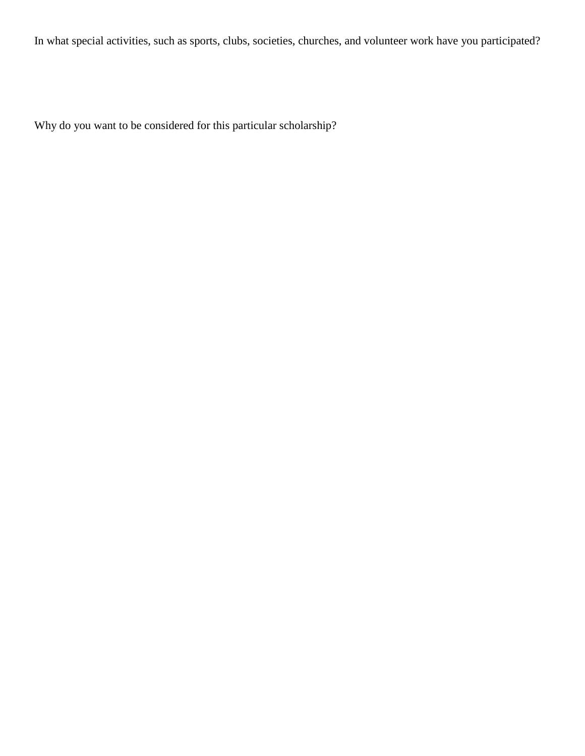In what special activities, such as sports, clubs, societies, churches, and volunteer work have you participated?

Why do you want to be considered for this particular scholarship?